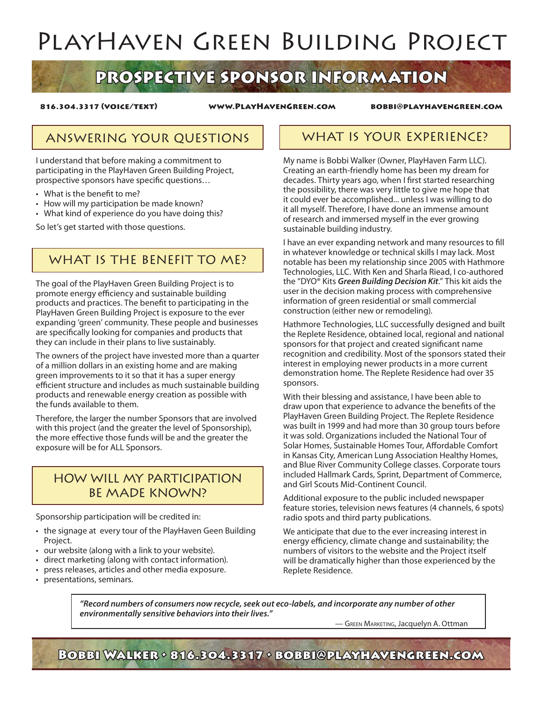# PlayHaven Green Building Project

## PROSPECTIVE SPONSOR INFORMATION

816.304.3317 (voice/text) www.PlayHavenGreen.com bobbi@playhavengreen.com

### ANSWERING YOUR QUESTIONS | WHAT IS YOUR EXPERIENCE?

I understand that before making a commitment to participating in the PlayHaven Green Building Project, prospective sponsors have specific questions…

- What is the benefit to me?
- How will my participation be made known?
- What kind of experience do you have doing this?

So let's get started with those questions.

### WHAT IS THE BENEFIT TO MF?

The goal of the PlayHaven Green Building Project is to promote energy efficiency and sustainable building products and practices. The benefit to participating in the PlayHaven Green Building Project is exposure to the ever expanding 'green' community. These people and businesses are specifically looking for companies and products that they can include in their plans to live sustainably.

The owners of the project have invested more than a quarter of a million dollars in an existing home and are making green improvements to it so that it has a super energy efficient structure and includes as much sustainable building products and renewable energy creation as possible with the funds available to them.

Therefore, the larger the number Sponsors that are involved with this project (and the greater the level of Sponsorship), the more effective those funds will be and the greater the exposure will be for ALL Sponsors.

#### HOW WILL MY PARTICIPATION BE MADE KNOWN?

Sponsorship participation will be credited in:

- the signage at every tour of the PlayHaven Geen Building Project.
- our website (along with a link to your website).
- • direct marketing (along with contact information).
- press releases, articles and other media exposure.
- • presentations, seminars.

My name is Bobbi Walker (Owner, PlayHaven Farm LLC). Creating an earth-friendly home has been my dream for decades. Thirty years ago, when I first started researching the possibility, there was very little to give me hope that it could ever be accomplished... unless I was willing to do it all myself. Therefore, I have done an immense amount of research and immersed myself in the ever growing sustainable building industry.

I have an ever expanding network and many resources to fill in whatever knowledge or technical skills I may lack. Most notable has been my relationship since 2005 with Hathmore Technologies, LLC. With Ken and Sharla Riead, I co-authored the "DYO® Kits *Green Building Decision Kit*." This kit aids the user in the decision making process with comprehensive information of green residential or small commercial construction (either new or remodeling).

Hathmore Technologies, LLC successfully designed and built the Replete Residence, obtained local, regional and national sponsors for that project and created significant name recognition and credibility. Most of the sponsors stated their interest in employing newer products in a more current demonstration home. The Replete Residence had over 35 sponsors.

With their blessing and assistance, I have been able to draw upon that experience to advance the benefits of the PlayHaven Green Building Project. The Replete Residence was built in 1999 and had more than 30 group tours before it was sold. Organizations included the National Tour of Solar Homes, Sustainable Homes Tour, Affordable Comfort in Kansas City, American Lung Association Healthy Homes, and Blue River Community College classes. Corporate tours included Hallmark Cards, Sprint, Department of Commerce, and Girl Scouts Mid-Continent Council.

Additional exposure to the public included newspaper feature stories, television news features (4 channels, 6 spots) radio spots and third party publications.

We anticipate that due to the ever increasing interest in energy efficiency, climate change and sustainability; the numbers of visitors to the website and the Project itself will be dramatically higher than those experienced by the Replete Residence.

*"Record numbers of consumers now recycle, seek out eco-labels, and incorporate any number of other environmentally sensitive behaviors into their lives."*

— Green Marketing, Jacquelyn A. Ottman

Bobbi Walker • 816.304.3317 • bobbi@playhavengreen.com